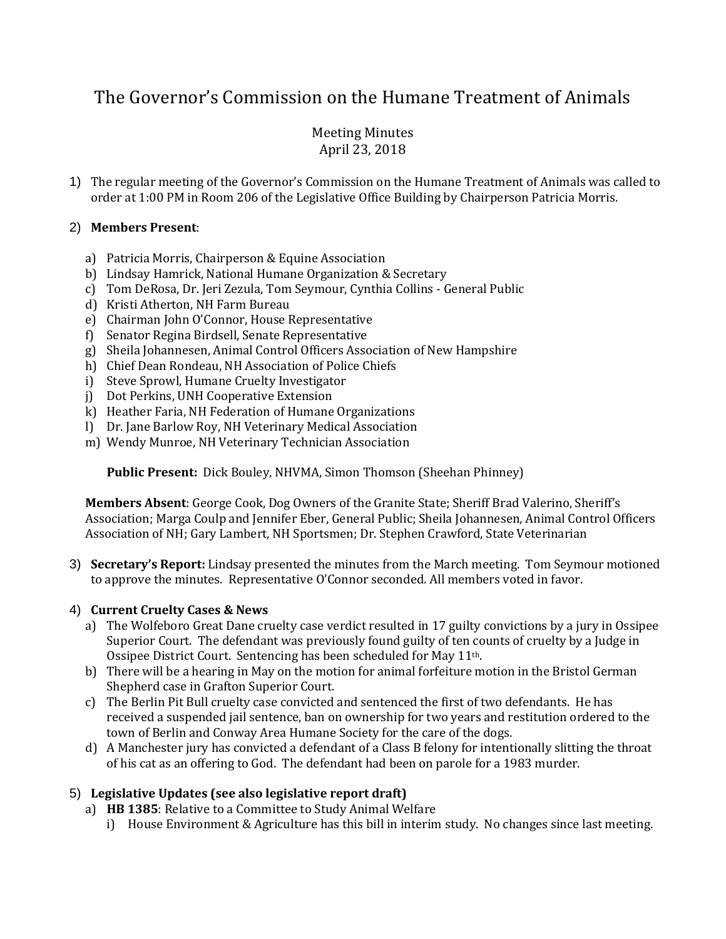# The Governor's Commission on the Humane Treatment of Animals

## Meeting Minutes April 23, 2018

1) The regular meeting of the Governor's Commission on the Humane Treatment of Animals was called to order at 1:00 PM in Room 206 of the Legislative Office Building by Chairperson Patricia Morris.

#### 2) **Members Present**:

- a) Patricia Morris, Chairperson & Equine Association
- b) Lindsay Hamrick, National Humane Organization & Secretary
- c) Tom DeRosa, Dr. Jeri Zezula, Tom Seymour, Cynthia Collins General Public
- d) Kristi Atherton, NH Farm Bureau
- e) Chairman John O'Connor, House Representative
- f) Senator Regina Birdsell, Senate Representative
- g) Sheila Johannesen, Animal Control Officers Association of New Hampshire
- h) Chief Dean Rondeau, NH Association of Police Chiefs
- i) Steve Sprowl, Humane Cruelty Investigator
- j) Dot Perkins, UNH Cooperative Extension
- k) Heather Faria, NH Federation of Humane Organizations
- l) Dr. Jane Barlow Roy, NH Veterinary Medical Association
- m) Wendy Munroe, NH Veterinary Technician Association

**Public Present:** Dick Bouley, NHVMA, Simon Thomson (Sheehan Phinney)

**Members Absent**: George Cook, Dog Owners of the Granite State; Sheriff Brad Valerino, Sheriff's Association; Marga Coulp and Jennifer Eber, General Public; Sheila Johannesen, Animal Control Officers Association of NH; Gary Lambert, NH Sportsmen; Dr. Stephen Crawford, State Veterinarian

3) **Secretary's Report:** Lindsay presented the minutes from the March meeting. Tom Seymour motioned to approve the minutes. Representative O'Connor seconded. All members voted in favor.

#### 4) **Current Cruelty Cases & News**

- a) The Wolfeboro Great Dane cruelty case verdict resulted in 17 guilty convictions by a jury in Ossipee Superior Court. The defendant was previously found guilty of ten counts of cruelty by a Judge in Ossipee District Court. Sentencing has been scheduled for May 11th.
- b) There will be a hearing in May on the motion for animal forfeiture motion in the Bristol German Shepherd case in Grafton Superior Court.
- c) The Berlin Pit Bull cruelty case convicted and sentenced the first of two defendants. He has received a suspended jail sentence, ban on ownership for two years and restitution ordered to the town of Berlin and Conway Area Humane Society for the care of the dogs.
- d) A Manchester jury has convicted a defendant of a Class B felony for intentionally slitting the throat of his cat as an offering to God. The defendant had been on parole for a 1983 murder.

## 5) **Legislative Updates (see also legislative report draft)**

- a) **HB 1385**: Relative to a Committee to Study Animal Welfare
	- i) House Environment & Agriculture has this bill in interim study. No changes since last meeting.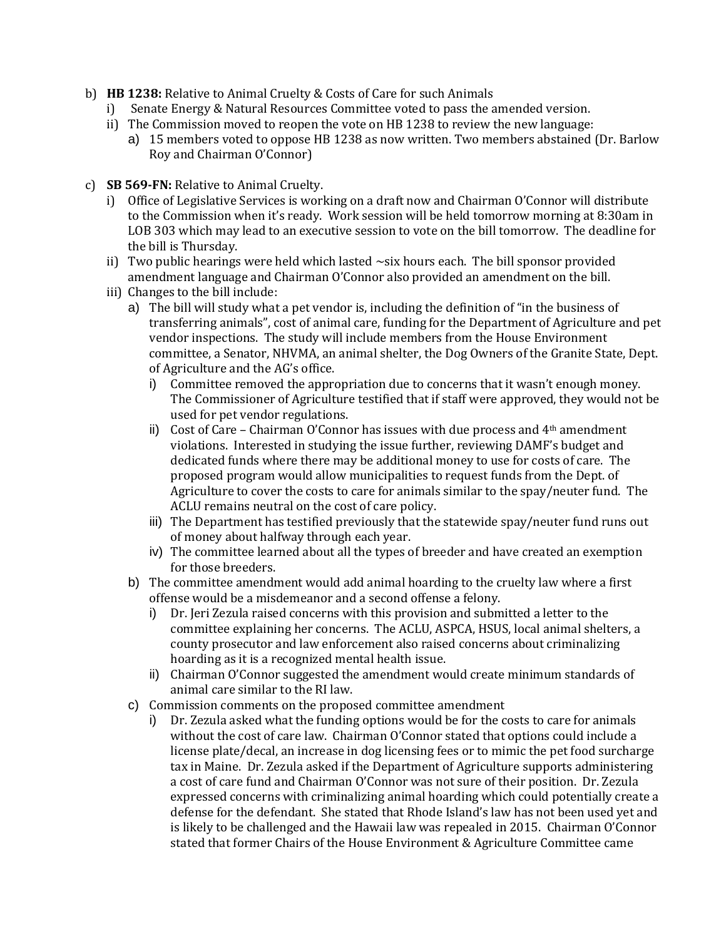- b) **HB 1238:** Relative to Animal Cruelty & Costs of Care for such Animals
	- i) Senate Energy & Natural Resources Committee voted to pass the amended version.
	- ii) The Commission moved to reopen the vote on HB 1238 to review the new language:
		- a) 15 members voted to oppose HB 1238 as now written. Two members abstained (Dr. Barlow Roy and Chairman O'Connor)
- c) **SB 569-FN:** Relative to Animal Cruelty.
	- i) Office of Legislative Services is working on a draft now and Chairman O'Connor will distribute to the Commission when it's ready. Work session will be held tomorrow morning at 8:30am in LOB 303 which may lead to an executive session to vote on the bill tomorrow. The deadline for the bill is Thursday.
	- ii) Two public hearings were held which lasted  $\sim$ six hours each. The bill sponsor provided amendment language and Chairman O'Connor also provided an amendment on the bill.
	- iii) Changes to the bill include:
		- a) The bill will study what a pet vendor is, including the definition of "in the business of transferring animals", cost of animal care, funding for the Department of Agriculture and pet vendor inspections. The study will include members from the House Environment committee, a Senator, NHVMA, an animal shelter, the Dog Owners of the Granite State, Dept. of Agriculture and the AG's office.
			- i) Committee removed the appropriation due to concerns that it wasn't enough money. The Commissioner of Agriculture testified that if staff were approved, they would not be used for pet vendor regulations.
			- ii) Cost of Care Chairman O'Connor has issues with due process and  $4<sup>th</sup>$  amendment violations. Interested in studying the issue further, reviewing DAMF's budget and dedicated funds where there may be additional money to use for costs of care. The proposed program would allow municipalities to request funds from the Dept. of Agriculture to cover the costs to care for animals similar to the spay/neuter fund. The ACLU remains neutral on the cost of care policy.
			- iii) The Department has testified previously that the statewide spay/neuter fund runs out of money about halfway through each year.
			- iv) The committee learned about all the types of breeder and have created an exemption for those breeders.
		- b) The committee amendment would add animal hoarding to the cruelty law where a first offense would be a misdemeanor and a second offense a felony.
			- i) Dr. Jeri Zezula raised concerns with this provision and submitted a letter to the committee explaining her concerns. The ACLU, ASPCA, HSUS, local animal shelters, a county prosecutor and law enforcement also raised concerns about criminalizing hoarding as it is a recognized mental health issue.
			- ii) Chairman O'Connor suggested the amendment would create minimum standards of animal care similar to the RI law.
		- c) Commission comments on the proposed committee amendment
			- i) Dr. Zezula asked what the funding options would be for the costs to care for animals without the cost of care law. Chairman O'Connor stated that options could include a license plate/decal, an increase in dog licensing fees or to mimic the pet food surcharge tax in Maine. Dr. Zezula asked if the Department of Agriculture supports administering a cost of care fund and Chairman O'Connor was not sure of their position. Dr. Zezula expressed concerns with criminalizing animal hoarding which could potentially create a defense for the defendant. She stated that Rhode Island's law has not been used yet and is likely to be challenged and the Hawaii law was repealed in 2015. Chairman O'Connor stated that former Chairs of the House Environment & Agriculture Committee came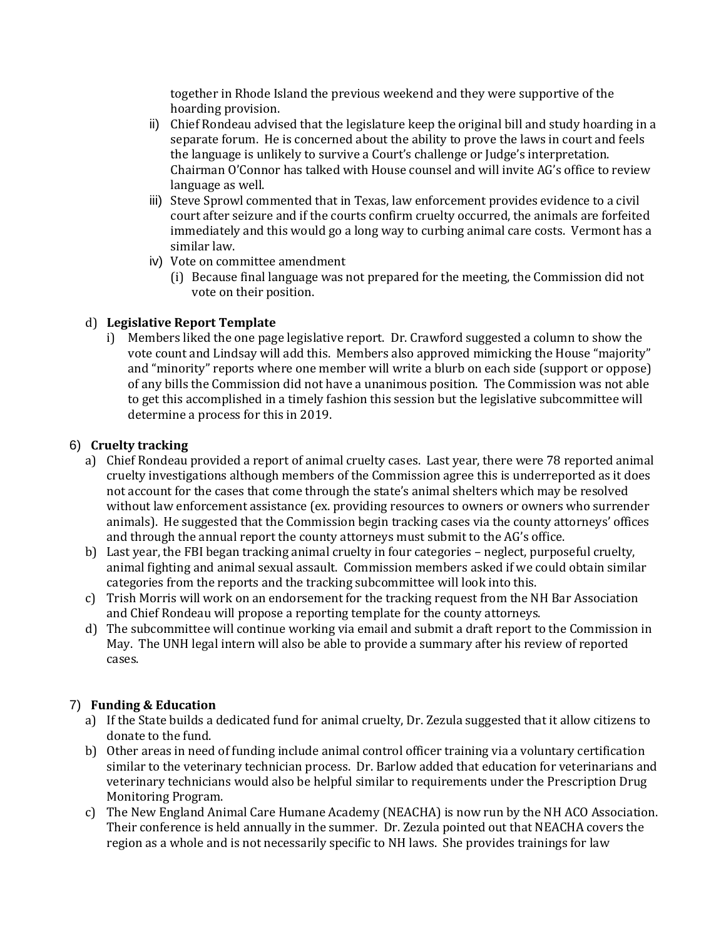together in Rhode Island the previous weekend and they were supportive of the hoarding provision.

- ii) Chief Rondeau advised that the legislature keep the original bill and study hoarding in a separate forum. He is concerned about the ability to prove the laws in court and feels the language is unlikely to survive a Court's challenge or Judge's interpretation. Chairman O'Connor has talked with House counsel and will invite AG's office to review language as well.
- iii) Steve Sprowl commented that in Texas, law enforcement provides evidence to a civil court after seizure and if the courts confirm cruelty occurred, the animals are forfeited immediately and this would go a long way to curbing animal care costs. Vermont has a similar law.
- iv) Vote on committee amendment
	- (i) Because final language was not prepared for the meeting, the Commission did not vote on their position.

### d) **Legislative Report Template**

i) Members liked the one page legislative report. Dr. Crawford suggested a column to show the vote count and Lindsay will add this. Members also approved mimicking the House "majority" and "minority" reports where one member will write a blurb on each side (support or oppose) of any bills the Commission did not have a unanimous position. The Commission was not able to get this accomplished in a timely fashion this session but the legislative subcommittee will determine a process for this in 2019.

#### 6) **Cruelty tracking**

- a) Chief Rondeau provided a report of animal cruelty cases. Last year, there were 78 reported animal cruelty investigations although members of the Commission agree this is underreported as it does not account for the cases that come through the state's animal shelters which may be resolved without law enforcement assistance (ex. providing resources to owners or owners who surrender animals). He suggested that the Commission begin tracking cases via the county attorneys' offices and through the annual report the county attorneys must submit to the AG's office.
- b) Last year, the FBI began tracking animal cruelty in four categories neglect, purposeful cruelty, animal fighting and animal sexual assault. Commission members asked if we could obtain similar categories from the reports and the tracking subcommittee will look into this.
- c) Trish Morris will work on an endorsement for the tracking request from the NH Bar Association and Chief Rondeau will propose a reporting template for the county attorneys.
- d) The subcommittee will continue working via email and submit a draft report to the Commission in May. The UNH legal intern will also be able to provide a summary after his review of reported cases.

#### 7) **Funding & Education**

- a) If the State builds a dedicated fund for animal cruelty, Dr. Zezula suggested that it allow citizens to donate to the fund.
- b) Other areas in need of funding include animal control officer training via a voluntary certification similar to the veterinary technician process. Dr. Barlow added that education for veterinarians and veterinary technicians would also be helpful similar to requirements under the Prescription Drug Monitoring Program.
- c) The New England Animal Care Humane Academy (NEACHA) is now run by the NH ACO Association. Their conference is held annually in the summer. Dr. Zezula pointed out that NEACHA covers the region as a whole and is not necessarily specific to NH laws. She provides trainings for law